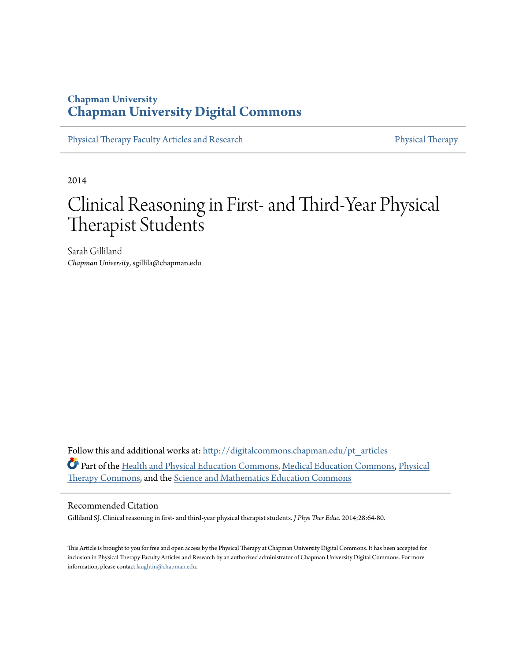# **Chapman University [Chapman University Digital Commons](http://digitalcommons.chapman.edu?utm_source=digitalcommons.chapman.edu%2Fpt_articles%2F53&utm_medium=PDF&utm_campaign=PDFCoverPages)**

[Physical Therapy Faculty Articles and Research](http://digitalcommons.chapman.edu/pt_articles?utm_source=digitalcommons.chapman.edu%2Fpt_articles%2F53&utm_medium=PDF&utm_campaign=PDFCoverPages) [Physical Therapy](http://digitalcommons.chapman.edu/physicaltherapy?utm_source=digitalcommons.chapman.edu%2Fpt_articles%2F53&utm_medium=PDF&utm_campaign=PDFCoverPages)

2014

# Clinical Reasoning in First- and Third-Year Physical Therapist Students

Sarah Gilliland *Chapman University*, sgillila@chapman.edu

Follow this and additional works at: [http://digitalcommons.chapman.edu/pt\\_articles](http://digitalcommons.chapman.edu/pt_articles?utm_source=digitalcommons.chapman.edu%2Fpt_articles%2F53&utm_medium=PDF&utm_campaign=PDFCoverPages) Part of the [Health and Physical Education Commons](http://network.bepress.com/hgg/discipline/1327?utm_source=digitalcommons.chapman.edu%2Fpt_articles%2F53&utm_medium=PDF&utm_campaign=PDFCoverPages), [Medical Education Commons](http://network.bepress.com/hgg/discipline/1125?utm_source=digitalcommons.chapman.edu%2Fpt_articles%2F53&utm_medium=PDF&utm_campaign=PDFCoverPages), [Physical](http://network.bepress.com/hgg/discipline/754?utm_source=digitalcommons.chapman.edu%2Fpt_articles%2F53&utm_medium=PDF&utm_campaign=PDFCoverPages) [Therapy Commons,](http://network.bepress.com/hgg/discipline/754?utm_source=digitalcommons.chapman.edu%2Fpt_articles%2F53&utm_medium=PDF&utm_campaign=PDFCoverPages) and the [Science and Mathematics Education Commons](http://network.bepress.com/hgg/discipline/800?utm_source=digitalcommons.chapman.edu%2Fpt_articles%2F53&utm_medium=PDF&utm_campaign=PDFCoverPages)

# Recommended Citation

Gilliland SJ. Clinical reasoning in first- and third-year physical therapist students. *J Phys Ther Educ*. 2014;28:64-80.

This Article is brought to you for free and open access by the Physical Therapy at Chapman University Digital Commons. It has been accepted for inclusion in Physical Therapy Faculty Articles and Research by an authorized administrator of Chapman University Digital Commons. For more information, please contact [laughtin@chapman.edu](mailto:laughtin@chapman.edu).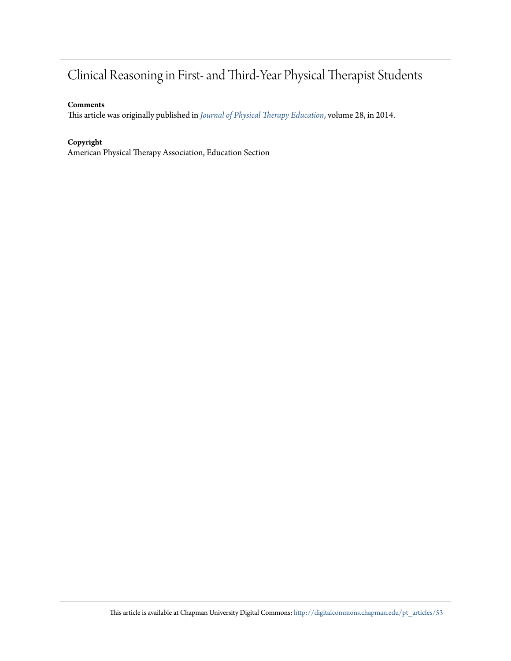# Clinical Reasoning in First- and Third-Year Physical Therapist Students

# **Comments**

This article was originally published in *[Journal of Physical Therapy Education](http://aptaeducation.org/members/jopte/)*, volume 28, in 2014.

# **Copyright**

American Physical Therapy Association, Education Section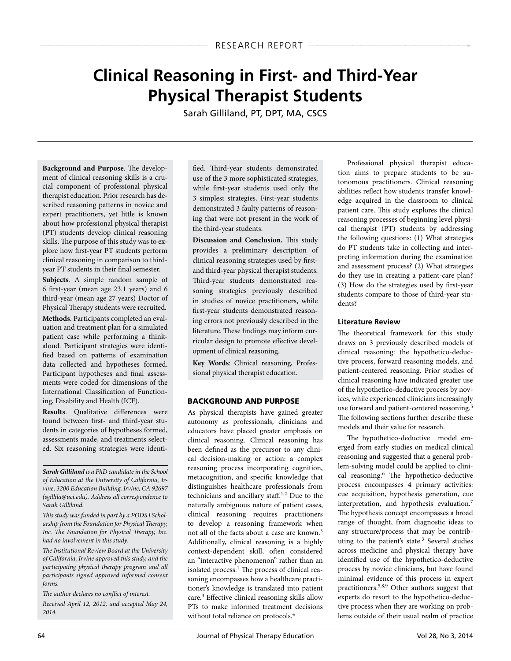# **Clinical Reasoning in First- and Third-Year Physical Therapist Students**

Sarah Gilliland, PT, DPT, MA, CSCS

**Background and Purpose**. The development of clinical reasoning skills is a crucial component of professional physical therapist education. Prior research has described reasoning patterns in novice and expert practitioners, yet little is known about how professional physical therapist (PT) students develop clinical reasoning skills. The purpose of this study was to explore how first-year PT students perform clinical reasoning in comparison to thirdyear PT students in their final semester.

**Subjects**. A simple random sample of 6 first-year (mean age 23.1 years) and 6 third-year (mean age 27 years) Doctor of Physical Therapy students were recruited.

**Methods**. Participants completed an evaluation and treatment plan for a simulated patient case while performing a thinkaloud. Participant strategies were identified based on patterns of examination data collected and hypotheses formed. Participant hypotheses and final assessments were coded for dimensions of the International Classification of Functioning, Disability and Health (ICF).

**Results**. Qualitative differences were found between first- and third-year students in categories of hypotheses formed, assessments made, and treatments selected. Six reasoning strategies were identi-

*Sarah Gilliland is a PhD candidate in the School of Education at the University of California, Irvine, 3200 Education Building, Irvine, CA 92697 (sgillila@uci.edu). Address all correspondence to Sarah Gilliland.*

*This study was funded in part by a PODS I Scholarship from the Foundation for Physical Therapy, Inc. The Foundation for Physical Therapy, Inc. had no involvement in this study.*

*The Institutional Review Board at the University of California, Irvine approved this study, and the participating physical therapy program and all participants signed approved informed consent forms.*

*The author declares no conflict of interest.*

*Received April 12, 2012, and accepted May 24, 2014.*

fied. Third-year students demonstrated use of the 3 more sophisticated strategies, while first-year students used only the 3 simplest strategies. First-year students demonstrated 3 faulty patterns of reasoning that were not present in the work of the third-year students.

**Discussion and Conclusion.** This study provides a preliminary description of clinical reasoning strategies used by firstand third-year physical therapist students. Third-year students demonstrated reasoning strategies previously described in studies of novice practitioners, while first-year students demonstrated reasoning errors not previously described in the literature. These findings may inform curricular design to promote effective development of clinical reasoning.

**Key Words**: Clinical reasoning, Professional physical therapist education.

# BACKGROUND AND PURPOSE

As physical therapists have gained greater autonomy as professionals, clinicians and educators have placed greater emphasis on clinical reasoning. Clinical reasoning has been defined as the precursor to any clinical decision-making or action: a complex reasoning process incorporating cognition, metacognition, and specific knowledge that distinguishes healthcare professionals from technicians and ancillary staff.1,2 Due to the naturally ambiguous nature of patient cases, clinical reasoning requires practitioners to develop a reasoning framework when not all of the facts about a case are known.<sup>3</sup> Additionally, clinical reasoning is a highly context-dependent skill, often considered an "interactive phenomenon" rather than an isolated process.<sup>1</sup> The process of clinical reasoning encompasses how a healthcare practitioner's knowledge is translated into patient care.<sup>3</sup> Effective clinical reasoning skills allow PTs to make informed treatment decisions without total reliance on protocols.<sup>4</sup>

Professional physical therapist education aims to prepare students to be autonomous practitioners. Clinical reasoning abilities reflect how students transfer knowledge acquired in the classroom to clinical patient care. This study explores the clinical reasoning processes of beginning level physical therapist (PT) students by addressing the following questions: (1) What strategies do PT students take in collecting and interpreting information during the examination and assessment process? (2) What strategies do they use in creating a patient-care plan? (3) How do the strategies used by first-year students compare to those of third-year students?

# **Literature Review**

The theoretical framework for this study draws on 3 previously described models of clinical reasoning: the hypothetico-deductive process, forward reasoning models, and patient-centered reasoning. Prior studies of clinical reasoning have indicated greater use of the hypothetico-deductive process by novices, while experienced clinicians increasingly use forward and patient-centered reasoning.<sup>5</sup> The following sections further describe these models and their value for research.

The hypothetico-deductive model emerged from early studies on medical clinical reasoning and suggested that a general problem-solving model could be applied to clinical reasoning.<sup>6</sup> The hypothetico-deductive process encompasses 4 primary activities: cue acquisition, hypothesis generation, cue interpretation, and hypothesis evaluation.<sup>7</sup> The hypothesis concept encompasses a broad range of thought, from diagnostic ideas to any structure/process that may be contributing to the patient's state.<sup>3</sup> Several studies across medicine and physical therapy have identified use of the hypothetico-deductive process by novice clinicians, but have found minimal evidence of this process in expert practitioners.5,8,9 Other authors suggest that experts do resort to the hypothetico-deductive process when they are working on problems outside of their usual realm of practice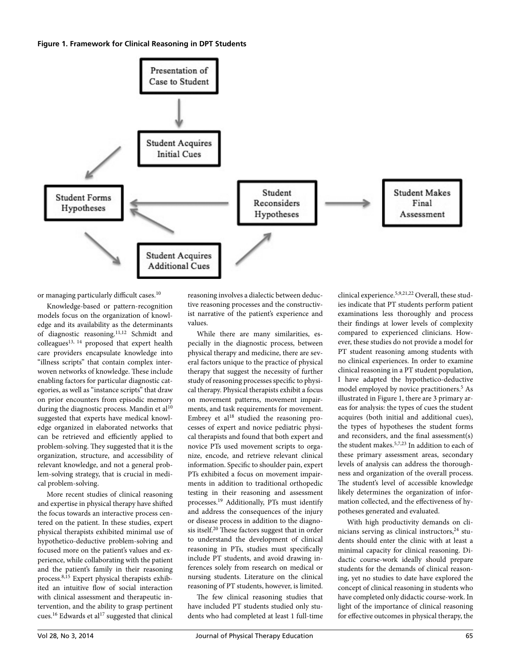

or managing particularly difficult cases.10

Knowledge-based or pattern-recognition models focus on the organization of knowledge and its availability as the determinants of diagnostic reasoning.11,12 Schmidt and colleagues<sup>13, 14</sup> proposed that expert health care providers encapsulate knowledge into "illness scripts" that contain complex interwoven networks of knowledge. These include enabling factors for particular diagnostic categories, as well as "instance scripts" that draw on prior encounters from episodic memory during the diagnostic process. Mandin et al<sup>10</sup> suggested that experts have medical knowledge organized in elaborated networks that can be retrieved and efficiently applied to problem-solving. They suggested that it is the organization, structure, and accessibility of relevant knowledge, and not a general problem-solving strategy, that is crucial in medical problem-solving.

More recent studies of clinical reasoning and expertise in physical therapy have shifted the focus towards an interactive process centered on the patient. In these studies, expert physical therapists exhibited minimal use of hypothetico-deductive problem-solving and focused more on the patient's values and experience, while collaborating with the patient and the patient's family in their reasoning process.8,15 Expert physical therapists exhibited an intuitive flow of social interaction with clinical assessment and therapeutic intervention, and the ability to grasp pertinent cues.<sup>16</sup> Edwards et al<sup>17</sup> suggested that clinical

reasoning involves a dialectic between deductive reasoning processes and the constructivist narrative of the patient's experience and values.

While there are many similarities, especially in the diagnostic process, between physical therapy and medicine, there are several factors unique to the practice of physical therapy that suggest the necessity of further study of reasoning processes specific to physical therapy. Physical therapists exhibit a focus on movement patterns, movement impairments, and task requirements for movement. Embrey et al $^{18}$  studied the reasoning processes of expert and novice pediatric physical therapists and found that both expert and novice PTs used movement scripts to organize, encode, and retrieve relevant clinical information. Specific to shoulder pain, expert PTs exhibited a focus on movement impairments in addition to traditional orthopedic testing in their reasoning and assessment processes.19 Additionally, PTs must identify and address the consequences of the injury or disease process in addition to the diagnosis itself.20 These factors suggest that in order to understand the development of clinical reasoning in PTs, studies must specifically include PT students, and avoid drawing inferences solely from research on medical or nursing students. Literature on the clinical reasoning of PT students, however, is limited.

The few clinical reasoning studies that have included PT students studied only students who had completed at least 1 full-time

clinical experience.5,9,21,22 Overall, these studies indicate that PT students perform patient examinations less thoroughly and process their findings at lower levels of complexity compared to experienced clinicians. However, these studies do not provide a model for PT student reasoning among students with no clinical experiences. In order to examine clinical reasoning in a PT student population, I have adapted the hypothetico-deductive model employed by novice practitioners.<sup>5</sup> As illustrated in Figure 1, there are 3 primary areas for analysis: the types of cues the student acquires (both initial and additional cues), the types of hypotheses the student forms and reconsiders, and the final assessment(s) the student makes.5,7,23 In addition to each of these primary assessment areas, secondary levels of analysis can address the thoroughness and organization of the overall process. The student's level of accessible knowledge likely determines the organization of information collected, and the effectiveness of hypotheses generated and evaluated.

With high productivity demands on clinicians serving as clinical instructors,<sup>24</sup> students should enter the clinic with at least a minimal capacity for clinical reasoning. Didactic course-work ideally should prepare students for the demands of clinical reasoning, yet no studies to date have explored the concept of clinical reasoning in students who have completed only didactic course-work. In light of the importance of clinical reasoning for effective outcomes in physical therapy, the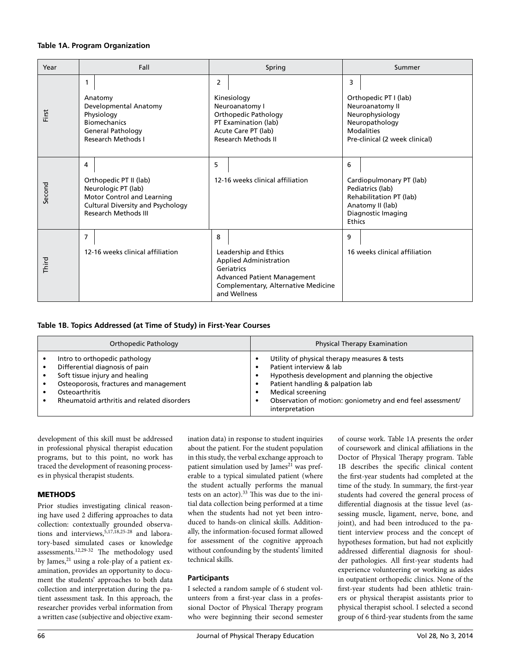# **Table 1A. Program Organization**

| Year   | Fall                                                                                                                                                        | Spring                                                                                                                                                                 | Summer                                                                                                                                    |  |
|--------|-------------------------------------------------------------------------------------------------------------------------------------------------------------|------------------------------------------------------------------------------------------------------------------------------------------------------------------------|-------------------------------------------------------------------------------------------------------------------------------------------|--|
| First  | 1<br>Anatomy<br>Developmental Anatomy<br>Physiology<br><b>Biomechanics</b><br><b>General Pathology</b><br><b>Research Methods I</b>                         | $\overline{2}$<br>Kinesiology<br>Neuroanatomy I<br><b>Orthopedic Pathology</b><br>PT Examination (lab)<br>Acute Care PT (lab)<br><b>Research Methods II</b>            | 3<br>Orthopedic PT I (lab)<br>Neuroanatomy II<br>Neurophysiology<br>Neuropathology<br><b>Modalities</b><br>Pre-clinical (2 week clinical) |  |
| Second | 4<br>Orthopedic PT II (lab)<br>Neurologic PT (lab)<br>Motor Control and Learning<br><b>Cultural Diversity and Psychology</b><br><b>Research Methods III</b> | 5<br>12-16 weeks clinical affiliation                                                                                                                                  | 6<br>Cardiopulmonary PT (lab)<br>Pediatrics (lab)<br>Rehabilitation PT (lab)<br>Anatomy II (lab)<br>Diagnostic Imaging<br><b>Ethics</b>   |  |
| Third  | $\overline{7}$<br>12-16 weeks clinical affiliation                                                                                                          | 8<br>Leadership and Ethics<br><b>Applied Administration</b><br>Geriatrics<br><b>Advanced Patient Management</b><br>Complementary, Alternative Medicine<br>and Wellness | 9<br>16 weeks clinical affiliation                                                                                                        |  |

#### **Table 1B. Topics Addressed (at Time of Study) in First-Year Courses**

| Orthopedic Pathology                                                                                                                                                                                        | <b>Physical Therapy Examination</b>                                                                                                                                                                                                                                   |
|-------------------------------------------------------------------------------------------------------------------------------------------------------------------------------------------------------------|-----------------------------------------------------------------------------------------------------------------------------------------------------------------------------------------------------------------------------------------------------------------------|
| Intro to orthopedic pathology<br>Differential diagnosis of pain<br>Soft tissue injury and healing<br>Osteoporosis, fractures and management<br>Osteoarthritis<br>Rheumatoid arthritis and related disorders | Utility of physical therapy measures & tests<br>Patient interview & lab<br>Hypothesis development and planning the objective<br>Patient handling & palpation lab<br>Medical screening<br>Observation of motion: goniometry and end feel assessment/<br>interpretation |

development of this skill must be addressed in professional physical therapist education programs, but to this point, no work has traced the development of reasoning processes in physical therapist students.

# **METHODS**

Prior studies investigating clinical reasoning have used 2 differing approaches to data collection: contextually grounded observations and interviews,5,17,18,25-28 and laboratory-based simulated cases or knowledge assessments.12,29-32 The methodology used by James, $21$  using a role-play of a patient examination, provides an opportunity to document the students' approaches to both data collection and interpretation during the patient assessment task. In this approach, the researcher provides verbal information from a written case (subjective and objective examination data) in response to student inquiries about the patient. For the student population in this study, the verbal exchange approach to patient simulation used by James<sup>21</sup> was preferable to a typical simulated patient (where the student actually performs the manual tests on an actor).<sup>33</sup> This was due to the initial data collection being performed at a time when the students had not yet been introduced to hands-on clinical skills. Additionally, the information-focused format allowed for assessment of the cognitive approach without confounding by the students' limited technical skills.

#### **Participants**

I selected a random sample of 6 student volunteers from a first-year class in a professional Doctor of Physical Therapy program who were beginning their second semester of course work. Table 1A presents the order of coursework and clinical affiliations in the Doctor of Physical Therapy program. Table 1B describes the specific clinical content the first-year students had completed at the time of the study. In summary, the first-year students had covered the general process of differential diagnosis at the tissue level (assessing muscle, ligament, nerve, bone, and joint), and had been introduced to the patient interview process and the concept of hypotheses formation, but had not explicitly addressed differential diagnosis for shoulder pathologies. All first-year students had experience volunteering or working as aides in outpatient orthopedic clinics. None of the first-year students had been athletic trainers or physical therapist assistants prior to physical therapist school. I selected a second group of 6 third-year students from the same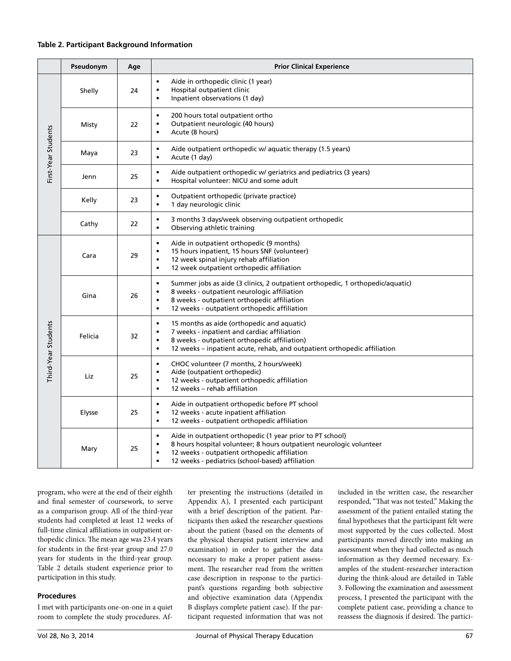## **Table 2. Participant Background Information**

|                     | Pseudonym | Age | <b>Prior Clinical Experience</b>                                                                                                                                                                                                                                                         |  |  |  |
|---------------------|-----------|-----|------------------------------------------------------------------------------------------------------------------------------------------------------------------------------------------------------------------------------------------------------------------------------------------|--|--|--|
| First-Year Students | Shelly    | 24  | Aide in orthopedic clinic (1 year)<br>$\bullet$<br>Hospital outpatient clinic<br>$\bullet$<br>Inpatient observations (1 day)<br>$\bullet$                                                                                                                                                |  |  |  |
|                     | Misty     | 22  | 200 hours total outpatient ortho<br>$\bullet$<br>Outpatient neurologic (40 hours)<br>$\bullet$<br>Acute (8 hours)<br>$\bullet$                                                                                                                                                           |  |  |  |
|                     | Maya      | 23  | Aide outpatient orthopedic w/ aquatic therapy (1.5 years)<br>$\bullet$<br>Acute (1 day)<br>$\bullet$                                                                                                                                                                                     |  |  |  |
|                     | Jenn      | 25  | Aide outpatient orthopedic w/ geriatrics and pediatrics (3 years)<br>Hospital volunteer: NICU and some adult                                                                                                                                                                             |  |  |  |
|                     | Kelly     | 23  | Outpatient orthopedic (private practice)<br>$\bullet$<br>1 day neurologic clinic<br>$\bullet$                                                                                                                                                                                            |  |  |  |
|                     | Cathy     | 22  | 3 months 3 days/week observing outpatient orthopedic<br>$\bullet$<br>Observing athletic training<br>$\bullet$                                                                                                                                                                            |  |  |  |
|                     | Cara      | 29  | Aide in outpatient orthopedic (9 months)<br>$\bullet$<br>15 hours inpatient, 15 hours SNF (volunteer)<br>$\bullet$<br>12 week spinal injury rehab affiliation<br>$\bullet$<br>12 week outpatient orthopedic affiliation<br>$\bullet$                                                     |  |  |  |
|                     | Gina      | 26  | Summer jobs as aide (3 clinics, 2 outpatient orthopedic, 1 orthopedic/aquatic)<br>$\bullet$<br>8 weeks - outpatient neurologic affiliation<br>$\bullet$<br>8 weeks - outpatient orthopedic affiliation<br>$\bullet$<br>12 weeks - outpatient orthopedic affiliation<br>$\bullet$         |  |  |  |
| Third-Year Students | Felicia   | 32  | 15 months as aide (orthopedic and aquatic)<br>$\bullet$<br>7 weeks - inpatient and cardiac affiliation<br>$\bullet$<br>8 weeks - outpatient orthopedic affiliation)<br>$\bullet$<br>12 weeks - inpatient acute, rehab, and outpatient orthopedic affiliation<br>$\bullet$                |  |  |  |
|                     | Liz       | 25  | CHOC volunteer (7 months, 2 hours/week)<br>$\bullet$<br>Aide (outpatient orthopedic)<br>$\bullet$<br>12 weeks - outpatient orthopedic affiliation<br>$\bullet$<br>12 weeks - rehab affiliation<br>$\bullet$                                                                              |  |  |  |
|                     | Elysse    | 25  | Aide in outpatient orthopedic before PT school<br>$\bullet$<br>12 weeks - acute inpatient affiliation<br>$\bullet$<br>12 weeks - outpatient orthopedic affiliation<br>$\bullet$                                                                                                          |  |  |  |
|                     | Mary      | 25  | Aide in outpatient orthopedic (1 year prior to PT school)<br>$\bullet$<br>8 hours hospital volunteer; 8 hours outpatient neurologic volunteer<br>$\bullet$<br>12 weeks - outpatient orthopedic affiliation<br>$\bullet$<br>12 weeks - pediatrics (school-based) affiliation<br>$\bullet$ |  |  |  |

program, who were at the end of their eighth and final semester of coursework, to serve as a comparison group. All of the third-year students had completed at least 12 weeks of full-time clinical affiliations in outpatient orthopedic clinics. The mean age was 23.4 years for students in the first-year group and 27.0 years for students in the third-year group. Table 2 details student experience prior to participation in this study.

#### **Procedures**

I met with participants one-on-one in a quiet room to complete the study procedures. After presenting the instructions (detailed in Appendix A), I presented each participant with a brief description of the patient. Participants then asked the researcher questions about the patient (based on the elements of the physical therapist patient interview and examination) in order to gather the data necessary to make a proper patient assessment. The researcher read from the written case description in response to the participant's questions regarding both subjective and objective examination data (Appendix B displays complete patient case). If the participant requested information that was not

included in the written case, the researcher responded, "That was not tested." Making the assessment of the patient entailed stating the final hypotheses that the participant felt were most supported by the cues collected. Most participants moved directly into making an assessment when they had collected as much information as they deemed necessary. Examples of the student-researcher interaction during the think-aloud are detailed in Table 3. Following the examination and assessment process, I presented the participant with the complete patient case, providing a chance to reassess the diagnosis if desired. The partici-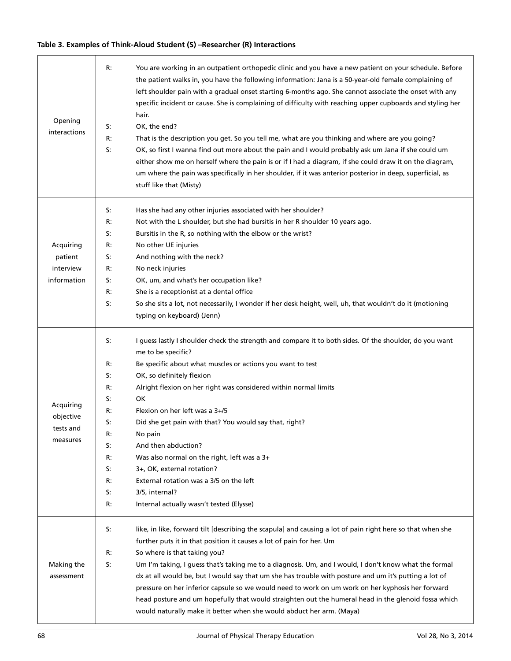# **Table 3. Examples of Think-Aloud Student (S) –Researcher (R) Interactions**

| Opening<br>interactions                          | R:<br>S:<br>R:<br>S:                                                             | You are working in an outpatient orthopedic clinic and you have a new patient on your schedule. Before<br>the patient walks in, you have the following information: Jana is a 50-year-old female complaining of<br>left shoulder pain with a gradual onset starting 6-months ago. She cannot associate the onset with any<br>specific incident or cause. She is complaining of difficulty with reaching upper cupboards and styling her<br>hair.<br>OK, the end?<br>That is the description you get. So you tell me, what are you thinking and where are you going?<br>OK, so first I wanna find out more about the pain and I would probably ask um Jana if she could um<br>either show me on herself where the pain is or if I had a diagram, if she could draw it on the diagram,<br>um where the pain was specifically in her shoulder, if it was anterior posterior in deep, superficial, as<br>stuff like that (Misty) |
|--------------------------------------------------|----------------------------------------------------------------------------------|------------------------------------------------------------------------------------------------------------------------------------------------------------------------------------------------------------------------------------------------------------------------------------------------------------------------------------------------------------------------------------------------------------------------------------------------------------------------------------------------------------------------------------------------------------------------------------------------------------------------------------------------------------------------------------------------------------------------------------------------------------------------------------------------------------------------------------------------------------------------------------------------------------------------------|
| Acquiring<br>patient<br>interview<br>information | S:<br>R:<br>S:<br>R:<br>S:<br>R:<br>S:<br>R:<br>S:                               | Has she had any other injuries associated with her shoulder?<br>Not with the L shoulder, but she had bursitis in her R shoulder 10 years ago.<br>Bursitis in the R, so nothing with the elbow or the wrist?<br>No other UE injuries<br>And nothing with the neck?<br>No neck injuries<br>OK, um, and what's her occupation like?<br>She is a receptionist at a dental office<br>So she sits a lot, not necessarily, I wonder if her desk height, well, uh, that wouldn't do it (motioning<br>typing on keyboard) (Jenn)                                                                                                                                                                                                                                                                                                                                                                                                      |
| Acquiring<br>objective<br>tests and<br>measures  | S:<br>R:<br>S:<br>R:<br>S:<br>R:<br>S:<br>R:<br>S:<br>R:<br>S:<br>R:<br>S:<br>R: | I guess lastly I shoulder check the strength and compare it to both sides. Of the shoulder, do you want<br>me to be specific?<br>Be specific about what muscles or actions you want to test<br>OK, so definitely flexion<br>Alright flexion on her right was considered within normal limits<br>OK<br>Flexion on her left was a 3+/5<br>Did she get pain with that? You would say that, right?<br>No pain<br>And then abduction?<br>Was also normal on the right, left was a 3+<br>3+, OK, external rotation?<br>External rotation was a 3/5 on the left<br>3/5, internal?<br>Internal actually wasn't tested (Elysse)                                                                                                                                                                                                                                                                                                       |
| Making the<br>assessment                         | S:<br>R:<br>S:                                                                   | like, in like, forward tilt [describing the scapula] and causing a lot of pain right here so that when she<br>further puts it in that position it causes a lot of pain for her. Um<br>So where is that taking you?<br>Um I'm taking, I guess that's taking me to a diagnosis. Um, and I would, I don't know what the formal<br>dx at all would be, but I would say that um she has trouble with posture and um it's putting a lot of<br>pressure on her inferior capsule so we would need to work on um work on her kyphosis her forward<br>head posture and um hopefully that would straighten out the humeral head in the glenoid fossa which<br>would naturally make it better when she would abduct her arm. (Maya)                                                                                                                                                                                                      |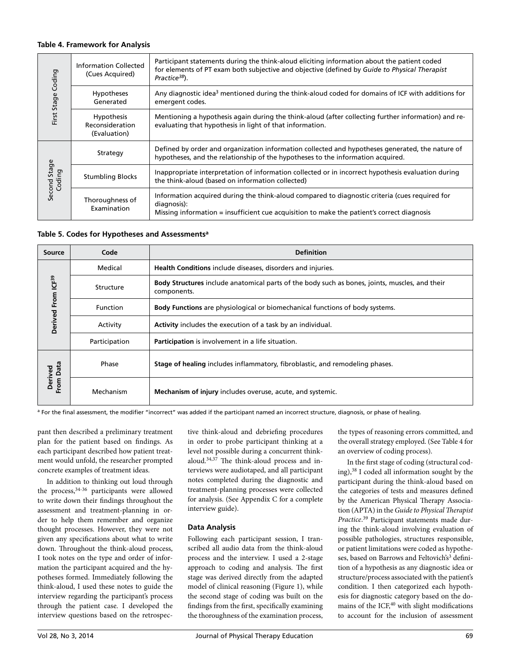#### **Table 4. Framework for Analysis**

| Coding<br>First Stage  | Information Collected<br>(Cues Acquired)             | Participant statements during the think-aloud eliciting information about the patient coded<br>for elements of PT exam both subjective and objective (defined by Guide to Physical Therapist<br>Practice <sup>38</sup> ). |
|------------------------|------------------------------------------------------|---------------------------------------------------------------------------------------------------------------------------------------------------------------------------------------------------------------------------|
|                        | Hypotheses<br>Generated                              | Any diagnostic idea <sup>3</sup> mentioned during the think-aloud coded for domains of ICF with additions for<br>emergent codes.                                                                                          |
|                        | <b>Hypothesis</b><br>Reconsideration<br>(Evaluation) | Mentioning a hypothesis again during the think-aloud (after collecting further information) and re-<br>evaluating that hypothesis in light of that information.                                                           |
| Second Stage<br>Coding | Strategy                                             | Defined by order and organization information collected and hypotheses generated, the nature of<br>hypotheses, and the relationship of the hypotheses to the information acquired.                                        |
|                        | <b>Stumbling Blocks</b>                              | Inappropriate interpretation of information collected or in incorrect hypothesis evaluation during<br>the think-aloud (based on information collected)                                                                    |
|                        | Thoroughness of<br>Examination                       | Information acquired during the think-aloud compared to diagnostic criteria (cues required for<br>diagnosis):<br>Missing information = insufficient cue acquisition to make the patient's correct diagnosis               |

#### **Table 5. Codes for Hypotheses and Assessmentsa**

| Source                         | Code          | <b>Definition</b>                                                                                             |
|--------------------------------|---------------|---------------------------------------------------------------------------------------------------------------|
| Derived From ICF <sup>39</sup> | Medical       | Health Conditions include diseases, disorders and injuries.                                                   |
|                                | Structure     | Body Structures include anatomical parts of the body such as bones, joints, muscles, and their<br>components. |
|                                | Function      | <b>Body Functions</b> are physiological or biomechanical functions of body systems.                           |
|                                | Activity      | Activity includes the execution of a task by an individual.                                                   |
|                                | Participation | Participation is involvement in a life situation.                                                             |
| Derived<br>From Data           | Phase         | Stage of healing includes inflammatory, fibroblastic, and remodeling phases.                                  |
|                                | Mechanism     | Mechanism of injury includes overuse, acute, and systemic.                                                    |

a For the final assessment, the modifier "incorrect" was added if the participant named an incorrect structure, diagnosis, or phase of healing.

pant then described a preliminary treatment plan for the patient based on findings. As each participant described how patient treatment would unfold, the researcher prompted concrete examples of treatment ideas.

In addition to thinking out loud through the process, 34-36 participants were allowed to write down their findings throughout the assessment and treatment-planning in order to help them remember and organize thought processes. However, they were not given any specifications about what to write down. Throughout the think-aloud process, I took notes on the type and order of information the participant acquired and the hypotheses formed. Immediately following the think-aloud, I used these notes to guide the interview regarding the participant's process through the patient case. I developed the interview questions based on the retrospec-

tive think-aloud and debriefing procedures in order to probe participant thinking at a level not possible during a concurrent thinkaloud.34,37 The think-aloud process and interviews were audiotaped, and all participant notes completed during the diagnostic and treatment-planning processes were collected for analysis. (See Appendix C for a complete interview guide).

## **Data Analysis**

Following each participant session, I transcribed all audio data from the think-aloud process and the interview. I used a 2-stage approach to coding and analysis. The first stage was derived directly from the adapted model of clinical reasoning (Figure 1), while the second stage of coding was built on the findings from the first, specifically examining the thoroughness of the examination process,

the types of reasoning errors committed, and the overall strategy employed. (See Table 4 for an overview of coding process).

In the first stage of coding (structural coding),<sup>38</sup> I coded all information sought by the participant during the think-aloud based on the categories of tests and measures defined by the American Physical Therapy Association (APTA) in the *Guide to Physical Therapist Practice*. <sup>39</sup> Participant statements made during the think-aloud involving evaluation of possible pathologies, structures responsible, or patient limitations were coded as hypotheses, based on Barrows and Feltovich's<sup>3</sup> definition of a hypothesis as any diagnostic idea or structure/process associated with the patient's condition. I then categorized each hypothesis for diagnostic category based on the domains of the ICF, $40$  with slight modifications to account for the inclusion of assessment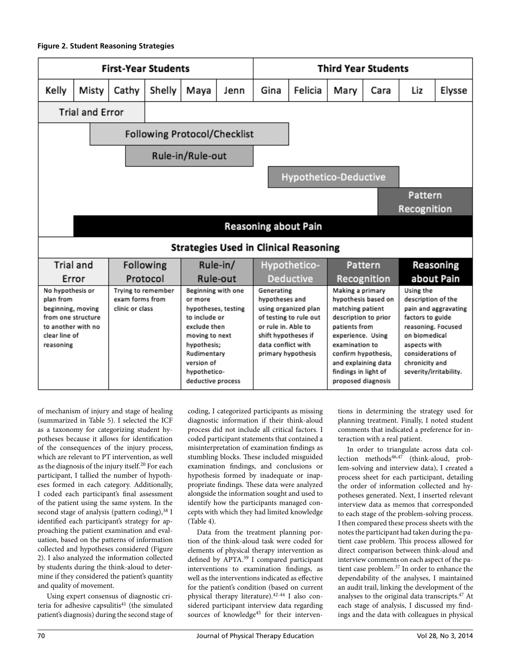# **Figure 2. Student Reasoning Strategies**

| <b>First-Year Students</b>                                                                                                   |                        |                                                          |           |                                                                                                                                                                                          |                                     | <b>Third Year Students</b>                                                                                             |                                                |                                                                                                                                                                                                                  |                     |                                                                                                                                                                             |                      |
|------------------------------------------------------------------------------------------------------------------------------|------------------------|----------------------------------------------------------|-----------|------------------------------------------------------------------------------------------------------------------------------------------------------------------------------------------|-------------------------------------|------------------------------------------------------------------------------------------------------------------------|------------------------------------------------|------------------------------------------------------------------------------------------------------------------------------------------------------------------------------------------------------------------|---------------------|-----------------------------------------------------------------------------------------------------------------------------------------------------------------------------|----------------------|
| Kelly                                                                                                                        | Misty                  | Cathy                                                    | Shelly    | Maya                                                                                                                                                                                     | Jenn                                | Gina                                                                                                                   | Felicia                                        | Mary                                                                                                                                                                                                             | Cara                | Liz                                                                                                                                                                         | Elysse               |
|                                                                                                                              | <b>Trial and Error</b> |                                                          |           |                                                                                                                                                                                          |                                     |                                                                                                                        |                                                |                                                                                                                                                                                                                  |                     |                                                                                                                                                                             |                      |
|                                                                                                                              |                        |                                                          |           |                                                                                                                                                                                          | <b>Following Protocol/Checklist</b> |                                                                                                                        |                                                |                                                                                                                                                                                                                  |                     |                                                                                                                                                                             |                      |
|                                                                                                                              |                        |                                                          |           | Rule-in/Rule-out                                                                                                                                                                         |                                     |                                                                                                                        |                                                |                                                                                                                                                                                                                  |                     |                                                                                                                                                                             |                      |
|                                                                                                                              |                        |                                                          |           |                                                                                                                                                                                          |                                     |                                                                                                                        | <b>Hypothetico-Deductive</b>                   |                                                                                                                                                                                                                  |                     |                                                                                                                                                                             |                      |
|                                                                                                                              |                        |                                                          |           |                                                                                                                                                                                          |                                     |                                                                                                                        |                                                |                                                                                                                                                                                                                  |                     | Pattern<br>Recognition                                                                                                                                                      |                      |
|                                                                                                                              |                        |                                                          |           |                                                                                                                                                                                          |                                     |                                                                                                                        | Reasoning about Pain                           |                                                                                                                                                                                                                  |                     |                                                                                                                                                                             |                      |
|                                                                                                                              |                        |                                                          |           |                                                                                                                                                                                          |                                     |                                                                                                                        | <b>Strategies Used in Clinical Reasoning</b>   |                                                                                                                                                                                                                  |                     |                                                                                                                                                                             |                      |
|                                                                                                                              | <b>Trial and</b>       |                                                          | Following |                                                                                                                                                                                          | Rule-in/                            |                                                                                                                        | Hypothetico-                                   |                                                                                                                                                                                                                  | Pattern             |                                                                                                                                                                             | Reasoning            |
|                                                                                                                              | Error                  |                                                          | Protocol  |                                                                                                                                                                                          | Rule-out                            |                                                                                                                        | <b>Deductive</b>                               |                                                                                                                                                                                                                  | Recognition         |                                                                                                                                                                             | about Pain           |
| No hypothesis or<br>plan from<br>beginning, moving<br>from one structure<br>to another with no<br>clear line of<br>reasoning |                        | Trving to remember<br>exam forms from<br>clinic or class |           | Beginning with one<br>or more<br>hypotheses, testing<br>to include or<br>exclude then<br>moving to next<br>hypothesis;<br>Rudimentary<br>version of<br>hypothetico-<br>deductive process |                                     | Generating<br>hypotheses and<br>or rule in. Able to<br>shift hypotheses if<br>data conflict with<br>primary hypothesis | using organized plan<br>of testing to rule out | Making a primary<br>matching patient<br>description to prior<br>patients from<br>experience. Using<br>examination to<br>confirm hypothesis,<br>and explaining data<br>findings in light of<br>proposed diagnosis | hypothesis based on | Using the<br>description of the<br>factors to guide<br>reasoning, Focused<br>on biomedical<br>aspects with<br>considerations of<br>chronicity and<br>severity/irritability. | pain and aggravating |

of mechanism of injury and stage of healing (summarized in Table 5). I selected the ICF as a taxonomy for categorizing student hypotheses because it allows for identification of the consequences of the injury process, which are relevant to PT intervention, as well as the diagnosis of the injury itself.<sup>20</sup> For each participant, I tallied the number of hypotheses formed in each category. Additionally, I coded each participant's final assessment of the patient using the same system. In the second stage of analysis (pattern coding), 38 I identified each participant's strategy for approaching the patient examination and evaluation, based on the patterns of information collected and hypotheses considered (Figure 2). I also analyzed the information collected by students during the think-aloud to determine if they considered the patient's quantity and quality of movement.

Using expert consensus of diagnostic criteria for adhesive capsulitis<sup>41</sup> (the simulated patient's diagnosis) during the second stage of coding, I categorized participants as missing diagnostic information if their think-aloud process did not include all critical factors. I coded participant statements that contained a misinterpretation of examination findings as stumbling blocks. These included misguided examination findings, and conclusions or hypothesis formed by inadequate or inappropriate findings. These data were analyzed alongside the information sought and used to identify how the participants managed concepts with which they had limited knowledge (Table 4).

Data from the treatment planning portion of the think-aloud task were coded for elements of physical therapy intervention as defined by APTA.39 I compared participant interventions to examination findings, as well as the interventions indicated as effective for the patient's condition (based on current physical therapy literature).42-44 I also considered participant interview data regarding sources of knowledge<sup>45</sup> for their interven-

tions in determining the strategy used for planning treatment. Finally, I noted student comments that indicated a preference for interaction with a real patient.

In order to triangulate across data collection methods $46,47$  (think-aloud, problem-solving and interview data), I created a process sheet for each participant, detailing the order of information collected and hypotheses generated. Next, I inserted relevant interview data as memos that corresponded to each stage of the problem-solving process. I then compared these process sheets with the notes the participant had taken during the patient case problem. This process allowed for direct comparison between think-aloud and interview comments on each aspect of the patient case problem.<sup>37</sup> In order to enhance the dependability of the analyses, I maintained an audit trail, linking the development of the analyses to the original data transcripts.47 At each stage of analysis, I discussed my findings and the data with colleagues in physical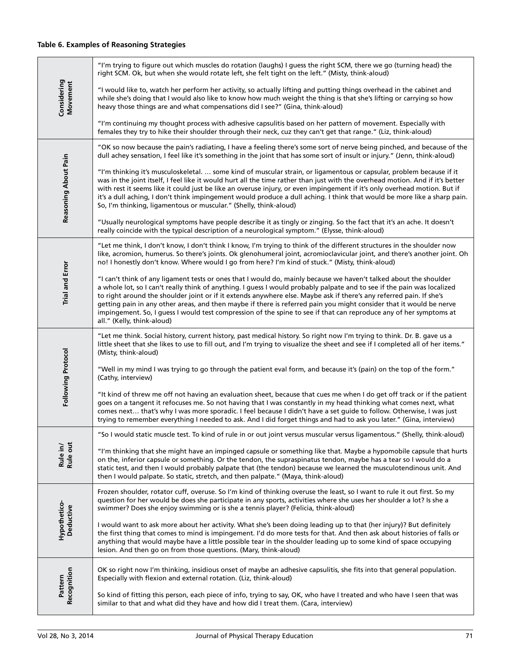# **Table 6. Examples of Reasoning Strategies**

|                           | "I'm trying to figure out which muscles do rotation (laughs) I guess the right SCM, there we go (turning head) the<br>right SCM. Ok, but when she would rotate left, she felt tight on the left." (Misty, think-aloud)                                                                                                                                                                                                                                                                                                                                                                                                                         |
|---------------------------|------------------------------------------------------------------------------------------------------------------------------------------------------------------------------------------------------------------------------------------------------------------------------------------------------------------------------------------------------------------------------------------------------------------------------------------------------------------------------------------------------------------------------------------------------------------------------------------------------------------------------------------------|
| Considering<br>Movement   | "I would like to, watch her perform her activity, so actually lifting and putting things overhead in the cabinet and<br>while she's doing that I would also like to know how much weight the thing is that she's lifting or carrying so how<br>heavy those things are and what compensations did I see?" (Gina, think-aloud)                                                                                                                                                                                                                                                                                                                   |
|                           | "I'm continuing my thought process with adhesive capsulitis based on her pattern of movement. Especially with<br>females they try to hike their shoulder through their neck, cuz they can't get that range." (Liz, think-aloud)                                                                                                                                                                                                                                                                                                                                                                                                                |
|                           | "OK so now because the pain's radiating, I have a feeling there's some sort of nerve being pinched, and because of the<br>dull achey sensation, I feel like it's something in the joint that has some sort of insult or injury." (Jenn, think-aloud)                                                                                                                                                                                                                                                                                                                                                                                           |
| Reasoning About Pain      | "I'm thinking it's musculoskeletal.  some kind of muscular strain, or ligamentous or capsular, problem because if it<br>was in the joint itself, I feel like it would hurt all the time rather than just with the overhead motion. And if it's better<br>with rest it seems like it could just be like an overuse injury, or even impingement if it's only overhead motion. But if<br>it's a dull aching, I don't think impingement would produce a dull aching. I think that would be more like a sharp pain.<br>So, I'm thinking, ligamentous or muscular." (Shelly, think-aloud)                                                            |
|                           | "Usually neurological symptoms have people describe it as tingly or zinging. So the fact that it's an ache. It doesn't<br>really coincide with the typical description of a neurological symptom." (Elysse, think-aloud)                                                                                                                                                                                                                                                                                                                                                                                                                       |
|                           | "Let me think, I don't know, I don't think I know, I'm trying to think of the different structures in the shoulder now<br>like, acromion, humerus. So there's joints. Ok glenohumeral joint, acromioclavicular joint, and there's another joint. Oh<br>no! I honestly don't know. Where would I go from here? I'm kind of stuck." (Misty, think-aloud)                                                                                                                                                                                                                                                                                         |
| <b>Trial and Error</b>    | "I can't think of any ligament tests or ones that I would do, mainly because we haven't talked about the shoulder<br>a whole lot, so I can't really think of anything. I guess I would probably palpate and to see if the pain was localized<br>to right around the shoulder joint or if it extends anywhere else. Maybe ask if there's any referred pain. If she's<br>getting pain in any other areas, and then maybe if there is referred pain you might consider that it would be nerve<br>impingement. So, I guess I would test compression of the spine to see if that can reproduce any of her symptoms at<br>all." (Kelly, think-aloud) |
|                           | "Let me think. Social history, current history, past medical history. So right now I'm trying to think. Dr. B. gave us a<br>little sheet that she likes to use to fill out, and I'm trying to visualize the sheet and see if I completed all of her items."<br>(Misty, think-aloud)                                                                                                                                                                                                                                                                                                                                                            |
| Following Protocol        | "Well in my mind I was trying to go through the patient eval form, and because it's (pain) on the top of the form."<br>(Cathy, interview)                                                                                                                                                                                                                                                                                                                                                                                                                                                                                                      |
|                           | "It kind of threw me off not having an evaluation sheet, because that cues me when I do get off track or if the patient<br>goes on a tangent it refocuses me. So not having that I was constantly in my head thinking what comes next, what<br>comes next that's why I was more sporadic. I feel because I didn't have a set guide to follow. Otherwise, I was just<br>trying to remember everything I needed to ask. And I did forget things and had to ask you later." (Gina, interview)                                                                                                                                                     |
|                           | "So I would static muscle test. To kind of rule in or out joint versus muscular versus ligamentous." (Shelly, think-aloud)                                                                                                                                                                                                                                                                                                                                                                                                                                                                                                                     |
| Rule out<br>Rule in/      | "I'm thinking that she might have an impinged capsule or something like that. Maybe a hypomobile capsule that hurts<br>on the, inferior capsule or something. Or the tendon, the supraspinatus tendon, maybe has a tear so I would do a<br>static test, and then I would probably palpate that (the tendon) because we learned the musculotendinous unit. And<br>then I would palpate. So static, stretch, and then palpate." (Maya, think-aloud)                                                                                                                                                                                              |
|                           | Frozen shoulder, rotator cuff, overuse. So I'm kind of thinking overuse the least, so I want to rule it out first. So my<br>question for her would be does she participate in any sports, activities where she uses her shoulder a lot? Is she a<br>swimmer? Does she enjoy swimming or is she a tennis player? (Felicia, think-aloud)                                                                                                                                                                                                                                                                                                         |
| Hypothetico-<br>Deductive | I would want to ask more about her activity. What she's been doing leading up to that (her injury)? But definitely<br>the first thing that comes to mind is impingement. I'd do more tests for that. And then ask about histories of falls or<br>anything that would maybe have a little possible tear in the shoulder leading up to some kind of space occupying<br>lesion. And then go on from those questions. (Mary, think-aloud)                                                                                                                                                                                                          |
| Recognition               | OK so right now I'm thinking, insidious onset of maybe an adhesive capsulitis, she fits into that general population.<br>Especially with flexion and external rotation. (Liz, think-aloud)                                                                                                                                                                                                                                                                                                                                                                                                                                                     |
| Pattern                   | So kind of fitting this person, each piece of info, trying to say, OK, who have I treated and who have I seen that was<br>similar to that and what did they have and how did I treat them. (Cara, interview)                                                                                                                                                                                                                                                                                                                                                                                                                                   |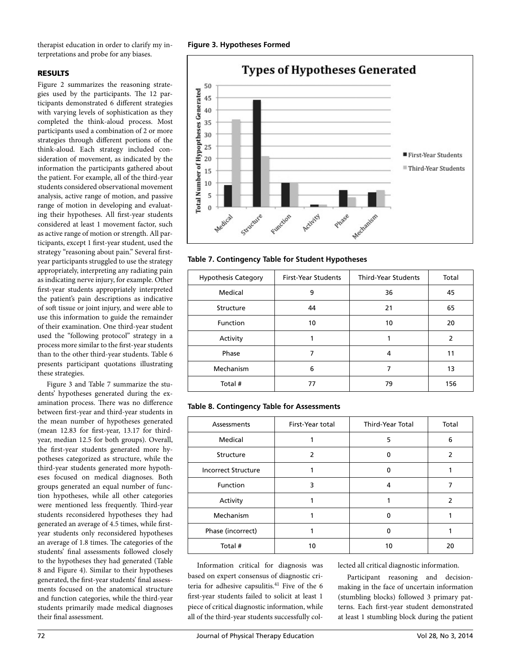therapist education in order to clarify my interpretations and probe for any biases.

## **RESULTS**

Figure 2 summarizes the reasoning strategies used by the participants. The 12 participants demonstrated 6 different strategies with varying levels of sophistication as they completed the think-aloud process. Most participants used a combination of 2 or more strategies through different portions of the think-aloud. Each strategy included consideration of movement, as indicated by the information the participants gathered about the patient. For example, all of the third-year students considered observational movement analysis, active range of motion, and passive range of motion in developing and evaluating their hypotheses. All first-year students considered at least 1 movement factor, such as active range of motion or strength. All participants, except 1 first-year student, used the strategy "reasoning about pain." Several firstyear participants struggled to use the strategy appropriately, interpreting any radiating pain as indicating nerve injury, for example. Other first-year students appropriately interpreted the patient's pain descriptions as indicative of soft tissue or joint injury, and were able to use this information to guide the remainder of their examination. One third-year student used the "following protocol" strategy in a process more similar to the first-year students than to the other third-year students. Table 6 presents participant quotations illustrating these strategies.

Figure 3 and Table 7 summarize the students' hypotheses generated during the examination process. There was no difference between first-year and third-year students in the mean number of hypotheses generated (mean 12.83 for first-year, 13.17 for thirdyear, median 12.5 for both groups). Overall, the first-year students generated more hypotheses categorized as structure, while the third-year students generated more hypotheses focused on medical diagnoses. Both groups generated an equal number of function hypotheses, while all other categories were mentioned less frequently. Third-year students reconsidered hypotheses they had generated an average of 4.5 times, while firstyear students only reconsidered hypotheses an average of 1.8 times. The categories of the students' final assessments followed closely to the hypotheses they had generated (Table 8 and Figure 4). Similar to their hypotheses generated, the first-year students' final assessments focused on the anatomical structure and function categories, while the third-year students primarily made medical diagnoses their final assessment.



#### **Table 7. Contingency Table for Student Hypotheses**

| <b>Hypothesis Category</b> | <b>First-Year Students</b> | <b>Third-Year Students</b> | Total         |
|----------------------------|----------------------------|----------------------------|---------------|
| Medical                    | 9                          | 36                         | 45            |
| Structure                  | 44                         | 21                         | 65            |
| Function                   | 10                         | 10                         | 20            |
| Activity                   |                            |                            | $\mathcal{P}$ |
| Phase                      | 7                          | 4                          | 11            |
| Mechanism                  | 6                          | 7                          | 13            |
| Total #                    | 77                         | 79                         | 156           |

**Table 8. Contingency Table for Assessments**

| Assessments                | First-Year total | <b>Third-Year Total</b> | Total         |
|----------------------------|------------------|-------------------------|---------------|
| Medical                    |                  | 5                       | 6             |
| Structure                  | 2                | 0                       | $\mathcal{P}$ |
| <b>Incorrect Structure</b> |                  | O                       |               |
| Function                   | 3                | 4                       |               |
| Activity                   |                  |                         | $\mathcal{P}$ |
| Mechanism                  |                  | 0                       |               |
| Phase (incorrect)          |                  | 0                       |               |
| Total #                    | 10               | 10                      | 20            |

Information critical for diagnosis was based on expert consensus of diagnostic criteria for adhesive capsulitis.<sup>41</sup> Five of the 6 first-year students failed to solicit at least 1 piece of critical diagnostic information, while all of the third-year students successfully collected all critical diagnostic information.

Participant reasoning and decisionmaking in the face of uncertain information (stumbling blocks) followed 3 primary patterns. Each first-year student demonstrated at least 1 stumbling block during the patient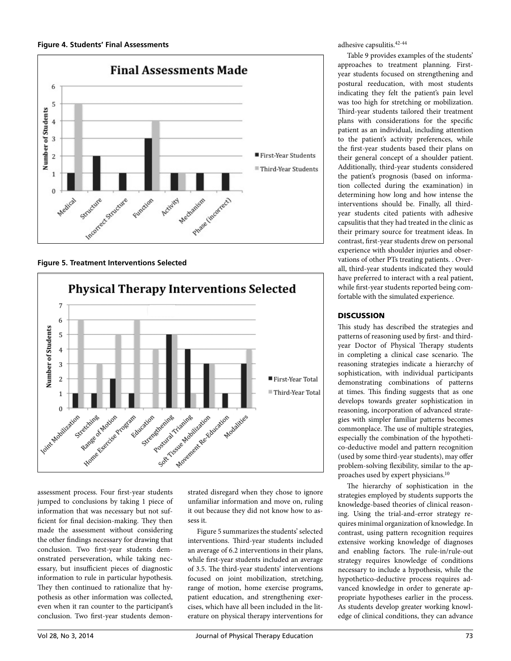

**Figure 5. Treatment Interventions Selected**



assessment process. Four first-year students jumped to conclusions by taking 1 piece of information that was necessary but not sufficient for final decision-making. They then made the assessment without considering the other findings necessary for drawing that conclusion. Two first-year students demonstrated perseveration, while taking necessary, but insufficient pieces of diagnostic information to rule in particular hypothesis. They then continued to rationalize that hypothesis as other information was collected, even when it ran counter to the participant's conclusion. Two first-year students demon-

strated disregard when they chose to ignore unfamiliar information and move on, ruling it out because they did not know how to assess it.

Figure 5 summarizes the students' selected interventions. Third-year students included an average of 6.2 interventions in their plans, while first-year students included an average of 3.5. The third-year students' interventions focused on joint mobilization, stretching, range of motion, home exercise programs, patient education, and strengthening exercises, which have all been included in the literature on physical therapy interventions for adhesive capsulitis.42-44

Table 9 provides examples of the students' approaches to treatment planning. Firstyear students focused on strengthening and postural reeducation, with most students indicating they felt the patient's pain level was too high for stretching or mobilization. Third-year students tailored their treatment plans with considerations for the specific patient as an individual, including attention to the patient's activity preferences, while the first-year students based their plans on their general concept of a shoulder patient. Additionally, third-year students considered the patient's prognosis (based on information collected during the examination) in determining how long and how intense the interventions should be. Finally, all thirdyear students cited patients with adhesive capsulitis that they had treated in the clinic as their primary source for treatment ideas. In contrast, first-year students drew on personal experience with shoulder injuries and observations of other PTs treating patients. . Overall, third-year students indicated they would have preferred to interact with a real patient, while first-year students reported being comfortable with the simulated experience.

# **DISCUSSION**

This study has described the strategies and patterns of reasoning used by first- and thirdyear Doctor of Physical Therapy students in completing a clinical case scenario. The reasoning strategies indicate a hierarchy of sophistication, with individual participants demonstrating combinations of patterns at times. This finding suggests that as one develops towards greater sophistication in reasoning, incorporation of advanced strategies with simpler familiar patterns becomes commonplace. The use of multiple strategies, especially the combination of the hypothetico-deductive model and pattern recognition (used by some third-year students), may offer problem-solving flexibility, similar to the approaches used by expert physicians.10

The hierarchy of sophistication in the strategies employed by students supports the knowledge-based theories of clinical reasoning. Using the trial-and-error strategy requires minimal organization of knowledge. In contrast, using pattern recognition requires extensive working knowledge of diagnoses and enabling factors. The rule-in/rule-out strategy requires knowledge of conditions necessary to include a hypothesis, while the hypothetico-deductive process requires advanced knowledge in order to generate appropriate hypotheses earlier in the process. As students develop greater working knowledge of clinical conditions, they can advance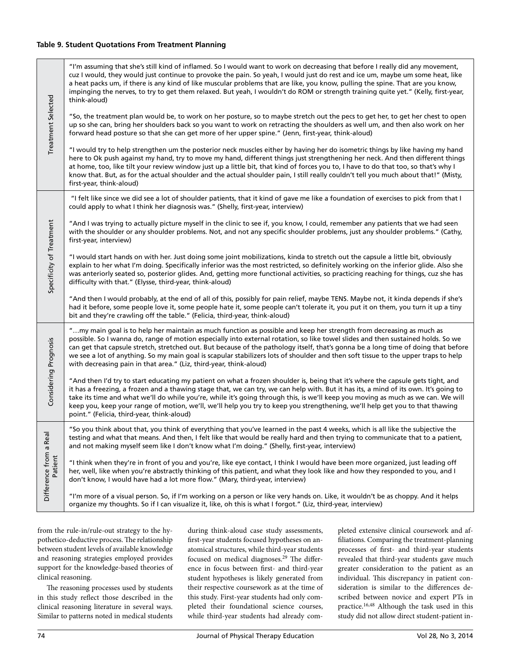#### **Table 9. Student Quotations From Treatment Planning**

| Treatment Selected               | "I'm assuming that she's still kind of inflamed. So I would want to work on decreasing that before I really did any movement,<br>cuz I would, they would just continue to provoke the pain. So yeah, I would just do rest and ice um, maybe um some heat, like<br>a heat packs um, if there is any kind of like muscular problems that are like, you know, pulling the spine. That are you know,<br>impinging the nerves, to try to get them relaxed. But yeah, I wouldn't do ROM or strength training quite yet." (Kelly, first-year,<br>think-aloud)<br>"So, the treatment plan would be, to work on her posture, so to maybe stretch out the pecs to get her, to get her chest to open<br>up so she can, bring her shoulders back so you want to work on retracting the shoulders as well um, and then also work on her<br>forward head posture so that she can get more of her upper spine." (Jenn, first-year, think-aloud)<br>"I would try to help strengthen um the posterior neck muscles either by having her do isometric things by like having my hand<br>here to Ok push against my hand, try to move my hand, different things just strengthening her neck. And then different things<br>at home, too, like tilt your review window just up a little bit, that kind of forces you to, I have to do that too, so that's why I<br>know that. But, as for the actual shoulder and the actual shoulder pain, I still really couldn't tell you much about that!" (Misty,<br>first-year, think-aloud) |
|----------------------------------|--------------------------------------------------------------------------------------------------------------------------------------------------------------------------------------------------------------------------------------------------------------------------------------------------------------------------------------------------------------------------------------------------------------------------------------------------------------------------------------------------------------------------------------------------------------------------------------------------------------------------------------------------------------------------------------------------------------------------------------------------------------------------------------------------------------------------------------------------------------------------------------------------------------------------------------------------------------------------------------------------------------------------------------------------------------------------------------------------------------------------------------------------------------------------------------------------------------------------------------------------------------------------------------------------------------------------------------------------------------------------------------------------------------------------------------------------------------------------------------------------------------|
|                                  | "I felt like since we did see a lot of shoulder patients, that it kind of gave me like a foundation of exercises to pick from that I<br>could apply to what I think her diagnosis was." (Shelly, first-year, interview)<br>"And I was trying to actually picture myself in the clinic to see if, you know, I could, remember any patients that we had seen                                                                                                                                                                                                                                                                                                                                                                                                                                                                                                                                                                                                                                                                                                                                                                                                                                                                                                                                                                                                                                                                                                                                                   |
| Specificity of Treatment         | with the shoulder or any shoulder problems. Not, and not any specific shoulder problems, just any shoulder problems." (Cathy,<br>first-year, interview)                                                                                                                                                                                                                                                                                                                                                                                                                                                                                                                                                                                                                                                                                                                                                                                                                                                                                                                                                                                                                                                                                                                                                                                                                                                                                                                                                      |
|                                  | "I would start hands on with her. Just doing some joint mobilizations, kinda to stretch out the capsule a little bit, obviously<br>explain to her what I'm doing. Specifically inferior was the most restricted, so definitely working on the inferior glide. Also she<br>was anteriorly seated so, posterior glides. And, getting more functional activities, so practicing reaching for things, cuz she has<br>difficulty with that." (Elysse, third-year, think-aloud)                                                                                                                                                                                                                                                                                                                                                                                                                                                                                                                                                                                                                                                                                                                                                                                                                                                                                                                                                                                                                                    |
|                                  | "And then I would probably, at the end of all of this, possibly for pain relief, maybe TENS. Maybe not, it kinda depends if she's<br>had it before, some people love it, some people hate it, some people can't tolerate it, you put it on them, you turn it up a tiny<br>bit and they're crawling off the table." (Felicia, third-year, think-aloud)                                                                                                                                                                                                                                                                                                                                                                                                                                                                                                                                                                                                                                                                                                                                                                                                                                                                                                                                                                                                                                                                                                                                                        |
| Considering Prognosis            | "my main goal is to help her maintain as much function as possible and keep her strength from decreasing as much as<br>possible. So I wanna do, range of motion especially into external rotation, so like towel slides and then sustained holds. So we<br>can get that capsule stretch, stretched out. But because of the pathology itself, that's gonna be a long time of doing that before<br>we see a lot of anything. So my main goal is scapular stabilizers lots of shoulder and then soft tissue to the upper traps to help<br>with decreasing pain in that area." (Liz, third-year, think-aloud)                                                                                                                                                                                                                                                                                                                                                                                                                                                                                                                                                                                                                                                                                                                                                                                                                                                                                                    |
|                                  | "And then I'd try to start educating my patient on what a frozen shoulder is, being that it's where the capsule gets tight, and<br>it has a freezing, a frozen and a thawing stage that, we can try, we can help with. But it has its, a mind of its own. It's going to<br>take its time and what we'll do while you're, while it's going through this, is we'll keep you moving as much as we can. We will<br>keep you, keep your range of motion, we'll, we'll help you try to keep you strengthening, we'll help get you to that thawing<br>point." (Felicia, third-year, think-aloud)                                                                                                                                                                                                                                                                                                                                                                                                                                                                                                                                                                                                                                                                                                                                                                                                                                                                                                                    |
|                                  | "So you think about that, you think of everything that you've learned in the past 4 weeks, which is all like the subjective the<br>testing and what that means. And then, I felt like that would be really hard and then trying to communicate that to a patient,<br>and not making myself seem like I don't know what I'm doing." (Shelly, first-year, interview)                                                                                                                                                                                                                                                                                                                                                                                                                                                                                                                                                                                                                                                                                                                                                                                                                                                                                                                                                                                                                                                                                                                                           |
| Difference from a Rea<br>Patient | "I think when they're in front of you and you're, like eye contact, I think I would have been more organized, just leading off<br>her, well, like when you're abstractly thinking of this patient, and what they look like and how they responded to you, and I<br>don't know, I would have had a lot more flow." (Mary, third-year, interview)                                                                                                                                                                                                                                                                                                                                                                                                                                                                                                                                                                                                                                                                                                                                                                                                                                                                                                                                                                                                                                                                                                                                                              |
|                                  | "I'm more of a visual person. So, if I'm working on a person or like very hands on. Like, it wouldn't be as choppy. And it helps<br>organize my thoughts. So if I can visualize it, like, oh this is what I forgot." (Liz, third-year, interview)                                                                                                                                                                                                                                                                                                                                                                                                                                                                                                                                                                                                                                                                                                                                                                                                                                                                                                                                                                                                                                                                                                                                                                                                                                                            |

from the rule-in/rule-out strategy to the hypothetico-deductive process.The relationship between student levels of available knowledge and reasoning strategies employed provides support for the knowledge-based theories of clinical reasoning.

The reasoning processes used by students in this study reflect those described in the clinical reasoning literature in several ways. Similar to patterns noted in medical students during think-aloud case study assessments, first-year students focused hypotheses on anatomical structures, while third-year students focused on medical diagnoses.29 The difference in focus between first- and third-year student hypotheses is likely generated from their respective coursework as at the time of this study. First-year students had only completed their foundational science courses, while third-year students had already com-

pleted extensive clinical coursework and affiliations. Comparing the treatment-planning processes of first- and third-year students revealed that third-year students gave much greater consideration to the patient as an individual. This discrepancy in patient consideration is similar to the differences described between novice and expert PTs in practice.16,48 Although the task used in this study did not allow direct student-patient in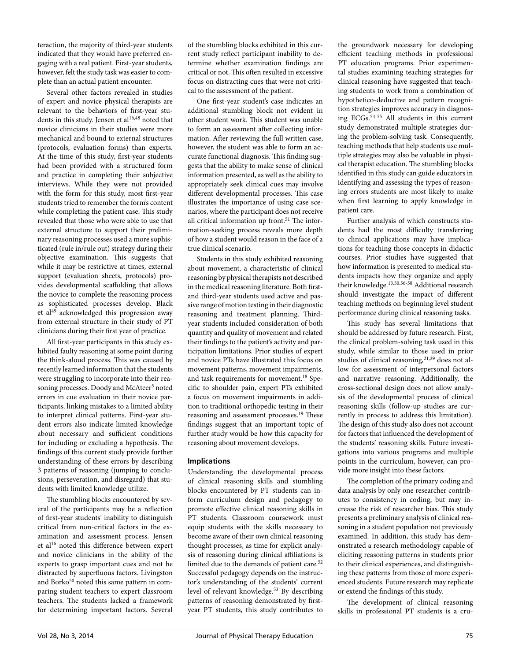teraction, the majority of third-year students indicated that they would have preferred engaging with a real patient. First-year students, however, felt the study task was easier to complete than an actual patient encounter.

Several other factors revealed in studies of expert and novice physical therapists are relevant to the behaviors of first-year students in this study. Jensen et al<sup>16,48</sup> noted that novice clinicians in their studies were more mechanical and bound to external structures (protocols, evaluation forms) than experts. At the time of this study, first-year students had been provided with a structured form and practice in completing their subjective interviews. While they were not provided with the form for this study, most first-year students tried to remember the form's content while completing the patient case. This study revealed that those who were able to use that external structure to support their preliminary reasoning processes used a more sophisticated (rule in/rule out) strategy during their objective examination. This suggests that while it may be restrictive at times, external support (evaluation sheets, protocols) provides developmental scaffolding that allows the novice to complete the reasoning process as sophisticated processes develop. Black et al $49$  acknowledged this progression away from external structure in their study of PT clinicians during their first year of practice.

All first-year participants in this study exhibited faulty reasoning at some point during the think-aloud process. This was caused by recently learned information that the students were struggling to incorporate into their reasoning processes. Doody and McAteer<sup>5</sup> noted errors in cue evaluation in their novice participants, linking mistakes to a limited ability to interpret clinical patterns. First-year student errors also indicate limited knowledge about necessary and sufficient conditions for including or excluding a hypothesis. The findings of this current study provide further understanding of these errors by describing 3 patterns of reasoning (jumping to conclusions, perseveration, and disregard) that students with limited knowledge utilize.

The stumbling blocks encountered by several of the participants may be a reflection of first-year students' inability to distinguish critical from non-critical factors in the examination and assessment process. Jensen et al<sup>16</sup> noted this difference between expert and novice clinicians in the ability of the experts to grasp important cues and not be distracted by superfluous factors. Livingston and Borko<sup>50</sup> noted this same pattern in comparing student teachers to expert classroom teachers. The students lacked a framework for determining important factors. Several

of the stumbling blocks exhibited in this current study reflect participant inability to determine whether examination findings are critical or not. This often resulted in excessive focus on distracting cues that were not critical to the assessment of the patient.

One first-year student's case indicates an additional stumbling block not evident in other student work. This student was unable to form an assessment after collecting information. After reviewing the full written case, however, the student was able to form an accurate functional diagnosis. This finding suggests that the ability to make sense of clinical information presented, as well as the ability to appropriately seek clinical cues may involve different developmental processes. This case illustrates the importance of using case scenarios, where the participant does not receive all critical information up front.<sup>51</sup> The information-seeking process reveals more depth of how a student would reason in the face of a true clinical scenario.

Students in this study exhibited reasoning about movement, a characteristic of clinical reasoning by physical therapists not described in the medical reasoning literature. Both firstand third-year students used active and passive range of motion testing in their diagnostic reasoning and treatment planning. Thirdyear students included consideration of both quantity and quality of movement and related their findings to the patient's activity and participation limitations. Prior studies of expert and novice PTs have illustrated this focus on movement patterns, movement impairments, and task requirements for movement.18 Specific to shoulder pain, expert PTs exhibited a focus on movement impairments in addition to traditional orthopedic testing in their reasoning and assessment processes.<sup>19</sup> These findings suggest that an important topic of further study would be how this capacity for reasoning about movement develops.

#### **Implications**

Understanding the developmental process of clinical reasoning skills and stumbling blocks encountered by PT students can inform curriculum design and pedagogy to promote effective clinical reasoning skills in PT students. Classroom coursework must equip students with the skills necessary to become aware of their own clinical reasoning thought processes, as time for explicit analysis of reasoning during clinical affiliations is limited due to the demands of patient care.52 Successful pedagogy depends on the instructor's understanding of the students' current level of relevant knowledge.<sup>53</sup> By describing patterns of reasoning demonstrated by firstyear PT students, this study contributes to

the groundwork necessary for developing efficient teaching methods in professional PT education programs. Prior experimental studies examining teaching strategies for clinical reasoning have suggested that teaching students to work from a combination of hypothetico-deductive and pattern recognition strategies improves accuracy in diagnosing ECGs.54-55 All students in this current study demonstrated multiple strategies during the problem-solving task. Consequently, teaching methods that help students use multiple strategies may also be valuable in physical therapist education. The stumbling blocks identified in this study can guide educators in identifying and assessing the types of reasoning errors students are most likely to make when first learning to apply knowledge in patient care.

Further analysis of which constructs students had the most difficulty transferring to clinical applications may have implications for teaching those concepts in didactic courses. Prior studies have suggested that how information is presented to medical students impacts how they organize and apply their knowledge.<sup>13,30,56-58</sup> Additional research should investigate the impact of different teaching methods on beginning level student performance during clinical reasoning tasks.

This study has several limitations that should be addressed by future research. First, the clinical problem-solving task used in this study, while similar to those used in prior studies of clinical reasoning,<sup>21,29</sup> does not allow for assessment of interpersonal factors and narrative reasoning. Additionally, the cross-sectional design does not allow analysis of the developmental process of clinical reasoning skills (follow-up studies are currently in process to address this limitation). The design of this study also does not account for factors that influenced the development of the students' reasoning skills. Future investigations into various programs and multiple points in the curriculum, however, can provide more insight into these factors.

The completion of the primary coding and data analysis by only one researcher contributes to consistency in coding, but may increase the risk of researcher bias. This study presents a preliminary analysis of clinical reasoning in a student population not previously examined. In addition, this study has demonstrated a research methodology capable of eliciting reasoning patterns in students prior to their clinical experiences, and distinguishing these patterns from those of more experienced students. Future research may replicate or extend the findings of this study.

The development of clinical reasoning skills in professional PT students is a cru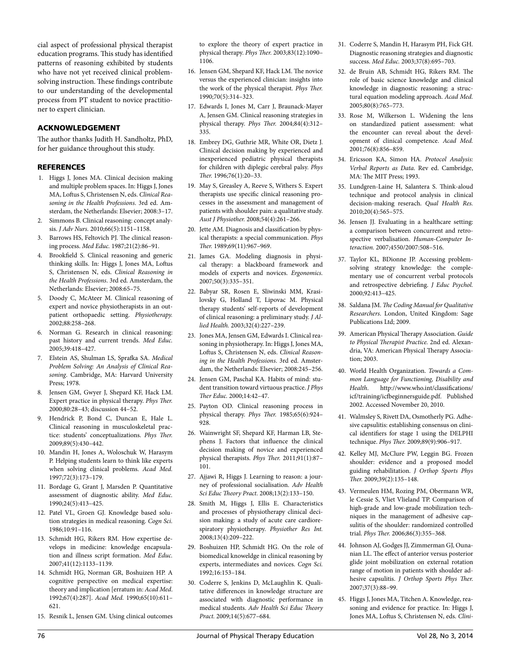cial aspect of professional physical therapist education programs. This study has identified patterns of reasoning exhibited by students who have not yet received clinical problemsolving instruction. These findings contribute to our understanding of the developmental process from PT student to novice practitioner to expert clinician.

## Acknowledgement

The author thanks Judith H. Sandholtz, PhD, for her guidance throughout this study.

#### **REFERENCES**

- 1. Higgs J, Jones MA. Clinical decision making and multiple problem spaces. In: Higgs J, Jones MA, Loftus S, Christensen N, eds. *Clinical Reasoning in the Health Professions*. 3rd ed. Amsterdam, the Netherlands: Elsevier; 2008:3–17.
- 2. Simmons B. Clinical reasoning: concept analysis. *J Adv Nurs.* 2010;66(5):1151–1158.
- 3. Barrows HS, Feltovich PJ. The clinical reasoning process. *Med Educ.* 1987;21(2):86–91.
- 4. Brookfield S. Clinical reasoning and generic thinking skills. In: Higgs J, Jones MA, Loftus S, Christensen N, eds. *Clinical Reasoning in the Health Professions*. 3rd ed. Amsterdam, the Netherlands: Elsevier; 2008:65–75.
- 5. Doody C, McAteer M. Clinical reasoning of expert and novice physiotherapists in an outpatient orthopaedic setting. *Physiotherapy.* 2002;88:258–268.
- 6. Norman G. Research in clinical reasoning: past history and current trends. *Med Educ.* 2005;39:418–427.
- 7. Elstein AS, Shulman LS, Sprafka SA. *Medical Problem Solving: An Analysis of Clinical Reasoning*. Cambridge, MA: Harvard University Press; 1978.
- 8. Jensen GM, Gwyer J, Shepard KF, Hack LM. Expert practice in physical therapy. *Phys Ther.* 2000;80:28–43; discussion 44–52.
- 9. Hendrick P, Bond C, Duncan E, Hale L. Clinical reasoning in musculoskeletal practice: students' conceptualizations. *Phys Ther.* 2009;89(5):430–442.
- 10. Mandin H, Jones A, Woloschuk W, Harasym P. Helping students learn to think like experts when solving clinical problems. *Acad Med.* 1997;72(3):173–179.
- 11. Bordage G, Grant J, Marsden P. Quantitative assessment of diagnostic ability. *Med Educ.* 1990;24(5):413–425.
- 12. Patel VL, Groen GJ. Knowledge based solution strategies in medical reasoning. *Cogn Sci.* 1986;10:91–116.
- 13. Schmidt HG, Rikers RM. How expertise develops in medicine: knowledge encapsulation and illness script formation. *Med Educ.* 2007;41(12):1133–1139.
- 14. Schmidt HG, Norman GR, Boshuizen HP. A cognitive perspective on medical expertise: theory and implication [erratum in: *Acad Med*. 1992;67(4):287]. *Acad Med.* 1990;65(10):611– 621.
- 15. Resnik L, Jensen GM. Using clinical outcomes

to explore the theory of expert practice in physical therapy. *Phys Ther.* 2003;83(12):1090– 1106.

- 16. Jensen GM, Shepard KF, Hack LM. The novice versus the experienced clinician: insights into the work of the physical therapist. *Phys Ther.* 1990;70(5):314–323.
- 17. Edwards I, Jones M, Carr J, Braunack-Mayer A, Jensen GM. Clinical reasoning strategies in physical therapy. *Phys Ther.* 2004;84(4):312– 335.
- 18. Embrey DG, Guthrie MR, White OR, Dietz J. Clinical decision making by experienced and inexperienced pediatric physical therapists for children with diplegic cerebral palsy. *Phys Ther.* 1996;76(1):20–33.
- 19. May S, Greasley A, Reeve S, Withers S. Expert therapists use specific clinical reasoning processes in the assessment and management of patients with shoulder pain: a qualitative study. *Aust J Physiother.* 2008;54(4):261–266.
- 20. Jette AM. Diagnosis and classification by physical therapists: a special communication. *Phys Ther.* 1989;69(11):967–969.
- 21. James GA. Modeling diagnosis in physical therapy: a blackboard framework and models of experts and novices. *Ergonomics.* 2007;50(3):335–351.
- 22. Babyar SR, Rosen E, Sliwinski MM, Krasilovsky G, Holland T, Lipovac M. Physical therapy students' self-reports of development of clinical reasoning: a preliminary study. *J Allied Health.* 2003;32(4):227–239.
- 23. Jones MA, Jensen GM, Edwards I. Clinical reasoning in physiotherapy. In: Higgs J, Jones MA, Loftus S, Christensen N, eds. *Clinical Reasoning in the Health Professions*. 3rd ed. Amsterdam, the Netherlands: Elsevier; 2008:245–256.
- 24. Jensen GM, Paschal KA. Habits of mind: student transition toward virtuous practice. *J Phys Ther Educ.* 2000;14:42–47.
- 25. Payton OD. Clinical reasoning process in physical therapy. *Phys Ther.* 1985;65(6):924– 928.
- 26. Wainwright SF, Shepard KF, Harman LB, Stephens J. Factors that influence the clinical decision making of novice and experienced physical therapists. *Phys Ther.* 2011;91(1):87– 101.
- 27. Ajjawi R, Higgs J. Learning to reason: a journey of professional socialisation. *Adv Health Sci Educ Theory Pract.* 2008;13(2):133–150.
- 28. Smith M, Higgs J, Ellis E. Characteristics and processes of physiotherapy clinical decision making: a study of acute care cardiorespiratory physiotherapy. *Physiother Res Int.* 2008;13(4):209–222.
- 29. Boshuizen HP, Schmidt HG. On the role of biomedical knoweldge in clinical reasoning by experts, intermediates and novices. *Cogn Sci.* 1992;16:153–184.
- 30. Coderre S, Jenkins D, McLaughlin K. Qualitative differences in knowledge structure are associated with diagnostic performance in medical students. *Adv Health Sci Educ Theory Pract.* 2009;14(5):677–684.
- 31. Coderre S, Mandin H, Harasym PH, Fick GH. Diagnostic reasoning strategies and diagnostic success. *Med Educ.* 2003;37(8):695–703.
- 32. de Bruin AB, Schmidt HG, Rikers RM. The role of basic science knowledge and clinical knowledge in diagnostic reasoning: a structural equation modeling approach. *Acad Med.* 2005;80(8):765–773.
- 33. Rose M, Wilkerson L. Widening the lens on standardized patient assessment: what the encounter can reveal about the development of clinical competence. *Acad Med.* 2001;76(8):856–859.
- 34. Ericsson KA, Simon HA. *Protocol Analysis: Verbal Reports as Data*. Rev ed. Cambridge, MA: The MIT Press; 1993.
- 35. Lundgren-Laine H, Salantera S. Think-aloud technique and protocol analysis in clinical decision-making reserach. *Qual Health Res.* 2010;20(4):565–575.
- 36. Jensen JJ. Evaluating in a healthcare setting: a comparison between concurrent and retrospective verbalisation. *Human-Computer Interaction.* 2007;4550/2007:508–516.
- 37. Taylor KL, BDionne JP. Accessing problemsolving strategy knowledge: the complementary use of concurrent verbal protocols and retrospective debriefing. *J Educ Psychol.* 2000;92:413–425.
- 38. Saldana JM. *The Coding Manual for Qualitative Researchers*. London, United Kingdom: Sage Publications Ltd; 2009.
- 39. American Physical Therapy Association. *Guide to Physical Therapist Practice.* 2nd ed. Alexandria, VA: American Physical Therapy Association; 2003.
- 40. World Health Organization. *Towards a Common Language for Functioning, Disability and Health*. http://www.who.int/classifications/ icf/training/icfbeginnersguide.pdf. Published 2002. Accessed November 20, 2010.
- 41. Walmsley S, Rivett DA, Osmotherly PG. Adhesive capsulitis: establishing consensus on clinical identifiers for stage 1 using the DELPHI technique. *Phys Ther.* 2009;89(9):906–917.
- 42. Kelley MJ, McClure PW, Leggin BG. Frozen shoulder: evidence and a proposed model guiding rehabilitation. *J Orthop Sports Phys Ther.* 2009;39(2):135–148.
- 43. Vermeulen HM, Rozing PM, Obermann WR, le Cessie S, Vliet Vlieland TP. Comparison of high-grade and low-grade mobilization techniques in the management of adhesive capsulitis of the shoulder: randomized controlled trial. *Phys Ther.* 2006;86(3):355–368.
- 44. Johnson AJ, Godges JJ, Zimmerman GJ, Ounanian LL. The effect of anterior versus posterior glide joint mobilization on external rotation range of motion in patients with shoulder adhesive capsulitis. *J Orthop Sports Phys Ther.* 2007;37(3):88–99.
- 45. Higgs J, Jones MA, Titchen A. Knowledge, reasoning and evidence for practice. In: Higgs J, Jones MA, Loftus S, Christensen N, eds. *Clini-*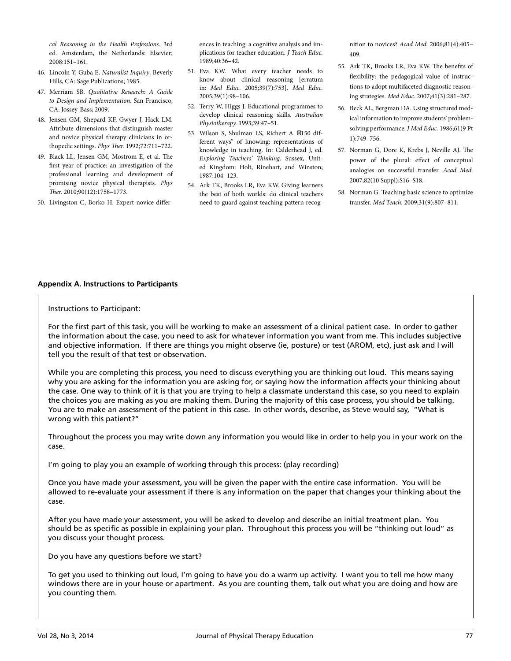*cal Reasoning in the Health Professions*. 3rd ed. Amsterdam, the Netherlands: Elsevier; 2008:151–161.

- 46. Lincoln Y, Guba E. *Naturalist Inquiry*. Beverly Hills, CA: Sage Publications; 1985.
- 47. Merriam SB. *Qualitative Research: A Guide to Design and Implementation*. San Francisco, CA: Jossey-Bass; 2009.
- 48. Jensen GM, Shepard KF, Gwyer J, Hack LM. Attribute dimensions that distinguish master and novice physical therapy clinicians in orthopedic settings. *Phys Ther.* 1992;72:711–722.
- 49. Black LL, Jensen GM, Mostrom E, et al. The first year of practice: an investigation of the professional learning and development of promising novice physical therapists. *Phys Ther.* 2010;90(12):1758–1773.
- 50. Livingston C, Borko H. Expert-novice differ-

ences in teaching: a cognitive analysis and implications for teacher education. *J Teach Educ.* 1989;40:36–42.

- 51. Eva KW. What every teacher needs to know about clinical reasoning [erratum in: *Med Educ*. 2005;39(7):753]. *Med Educ.* 2005;39(1):98–106.
- 52. Terry W, Higgs J. Educational programmes to develop clinical reasoning skills. *Australian Physiotherapy.* 1993;39:47–51.
- 53. Wilson S, Shulman LS, Richert A. 150 different ways" of knowing: representations of knowledge in teaching. In: Calderhead J, ed. *Exploring Teachers' Thinking*. Sussex, United Kingdom: Holt, Rinehart, and Winston; 1987:104–123.
- 54. Ark TK, Brooks LR, Eva KW. Giving learners the best of both worlds: do clinical teachers need to guard against teaching pattern recog-

nition to novices? *Acad Med.* 2006;81(4):405– 409.

- 55. Ark TK, Brooks LR, Eva KW. The benefits of flexibility: the pedagogical value of instructions to adopt multifaceted diagnostic reasoning strategies. *Med Educ.* 2007;41(3):281–287.
- 56. Beck AL, Bergman DA. Using structured medical information to improve students' problemsolving performance. *J Med Educ.* 1986;61(9 Pt 1):749–756.
- 57. Norman G, Dore K, Krebs J, Neville AJ. The power of the plural: effect of conceptual analogies on successful transfer. *Acad Med.* 2007;82(10 Suppl):S16–S18.
- 58. Norman G. Teaching basic science to optimize transfer. *Med Teach.* 2009;31(9):807–811.

#### **Appendix A. Instructions to Participants**

#### Instructions to Participant:

For the first part of this task, you will be working to make an assessment of a clinical patient case. In order to gather the information about the case, you need to ask for whatever information you want from me. This includes subjective and objective information. If there are things you might observe (ie, posture) or test (AROM, etc), just ask and I will tell you the result of that test or observation.

While you are completing this process, you need to discuss everything you are thinking out loud. This means saying why you are asking for the information you are asking for, or saying how the information affects your thinking about the case. One way to think of it is that you are trying to help a classmate understand this case, so you need to explain the choices you are making as you are making them. During the majority of this case process, you should be talking. You are to make an assessment of the patient in this case. In other words, describe, as Steve would say, "What is wrong with this patient?"

Throughout the process you may write down any information you would like in order to help you in your work on the case.

I'm going to play you an example of working through this process: (play recording)

Once you have made your assessment, you will be given the paper with the entire case information. You will be allowed to re-evaluate your assessment if there is any information on the paper that changes your thinking about the case.

After you have made your assessment, you will be asked to develop and describe an initial treatment plan. You should be as specific as possible in explaining your plan. Throughout this process you will be "thinking out loud" as you discuss your thought process.

Do you have any questions before we start?

To get you used to thinking out loud, I'm going to have you do a warm up activity. I want you to tell me how many windows there are in your house or apartment. As you are counting them, talk out what you are doing and how are you counting them.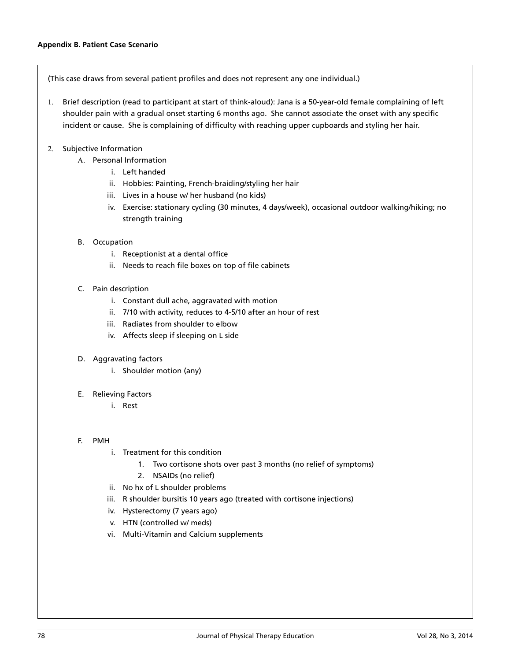# **Appendix B. Patient Case Scenario**

(This case draws from several patient profiles and does not represent any one individual.)

- 1. Brief description (read to participant at start of think-aloud): Jana is a 50-year-old female complaining of left shoulder pain with a gradual onset starting 6 months ago. She cannot associate the onset with any specific incident or cause. She is complaining of difficulty with reaching upper cupboards and styling her hair.
- 2. Subjective Information
	- A. Personal Information
		- i. Left handed
		- ii. Hobbies: Painting, French-braiding/styling her hair
		- iii. Lives in a house w/ her husband (no kids)
		- iv. Exercise: stationary cycling (30 minutes, 4 days/week), occasional outdoor walking/hiking; no strength training

# B. Occupation

- i. Receptionist at a dental office
- ii. Needs to reach file boxes on top of file cabinets
- C. Pain description
	- i. Constant dull ache, aggravated with motion
	- ii. 7/10 with activity, reduces to 4-5/10 after an hour of rest
	- iii. Radiates from shoulder to elbow
	- iv. Affects sleep if sleeping on L side
- D. Aggravating factors
	- i. Shoulder motion (any)
- E. Relieving Factors
	- i. Rest
- F. PMH
	- i. Treatment for this condition
		- 1. Two cortisone shots over past 3 months (no relief of symptoms)
		- 2. NSAIDs (no relief)
	- ii. No hx of L shoulder problems
	- iii. R shoulder bursitis 10 years ago (treated with cortisone injections)
	- iv. Hysterectomy (7 years ago)
	- v. HTN (controlled w/ meds)
	- vi. Multi-Vitamin and Calcium supplements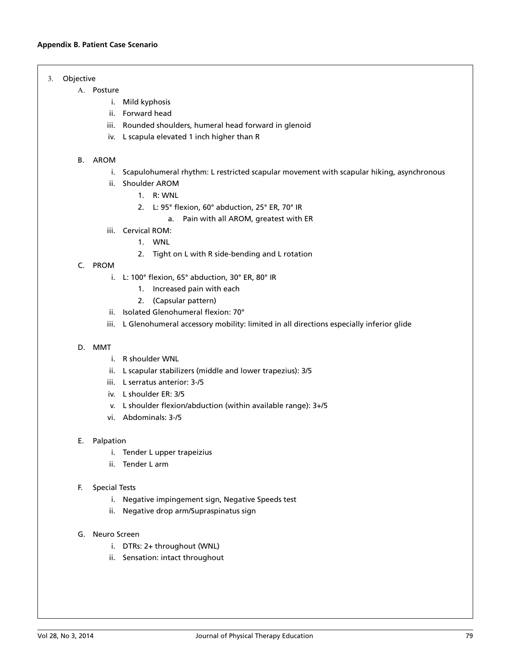# 3. Objective

- A. Posture
	- i. Mild kyphosis
	- ii. Forward head
	- iii. Rounded shoulders, humeral head forward in glenoid
	- iv. L scapula elevated 1 inch higher than R

# B. AROM

- i. Scapulohumeral rhythm: L restricted scapular movement with scapular hiking, asynchronous
- ii. Shoulder AROM
	- 1. R: WNL
	- 2. L: 95° flexion, 60° abduction, 25° ER, 70° IR
		- a. Pain with all AROM, greatest with ER
- iii. Cervical ROM:
	- 1. WNL
	- 2. Tight on L with R side-bending and L rotation
- C. PROM
	- i. L: 100° flexion, 65° abduction, 30° ER, 80° IR
		- 1. Increased pain with each
		- 2. (Capsular pattern)
	- ii. Isolated Glenohumeral flexion: 70°
	- iii. L Glenohumeral accessory mobility: limited in all directions especially inferior glide

# D. MMT

- i. R shoulder WNL
- ii. L scapular stabilizers (middle and lower trapezius): 3/5
- iii. L serratus anterior: 3-/5
- iv. L shoulder ER: 3/5
- v. L shoulder flexion/abduction (within available range): 3+/5
- vi. Abdominals: 3-/5
- E. Palpation
	- i. Tender L upper trapeizius
	- ii. Tender L arm
- F. Special Tests
	- i. Negative impingement sign, Negative Speeds test
	- ii. Negative drop arm/Supraspinatus sign
- G. Neuro Screen
	- i. DTRs: 2+ throughout (WNL)
	- ii. Sensation: intact throughout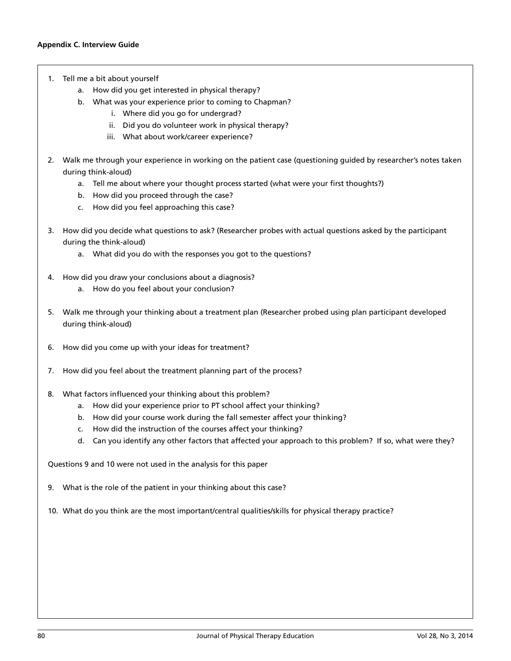- 1. Tell me a bit about yourself
	- a. How did you get interested in physical therapy?
	- b. What was your experience prior to coming to Chapman?
		- i. Where did you go for undergrad?
		- ii. Did you do volunteer work in physical therapy?
		- iii. What about work/career experience?
- 2. Walk me through your experience in working on the patient case (questioning guided by researcher's notes taken during think-aloud)
	- a. Tell me about where your thought process started (what were your first thoughts?)
	- b. How did you proceed through the case?
	- c. How did you feel approaching this case?
- 3. How did you decide what questions to ask? (Researcher probes with actual questions asked by the participant during the think-aloud)
	- a. What did you do with the responses you got to the questions?
- 4. How did you draw your conclusions about a diagnosis?
	- a. How do you feel about your conclusion?
- 5. Walk me through your thinking about a treatment plan (Researcher probed using plan participant developed during think-aloud)
- 6. How did you come up with your ideas for treatment?
- 7. How did you feel about the treatment planning part of the process?
- 8. What factors influenced your thinking about this problem?
	- a. How did your experience prior to PT school affect your thinking?
	- b. How did your course work during the fall semester affect your thinking?
	- c. How did the instruction of the courses affect your thinking?
	- d. Can you identify any other factors that affected your approach to this problem? If so, what were they?

Questions 9 and 10 were not used in the analysis for this paper

9. What is the role of the patient in your thinking about this case?

10. What do you think are the most important/central qualities/skills for physical therapy practice?